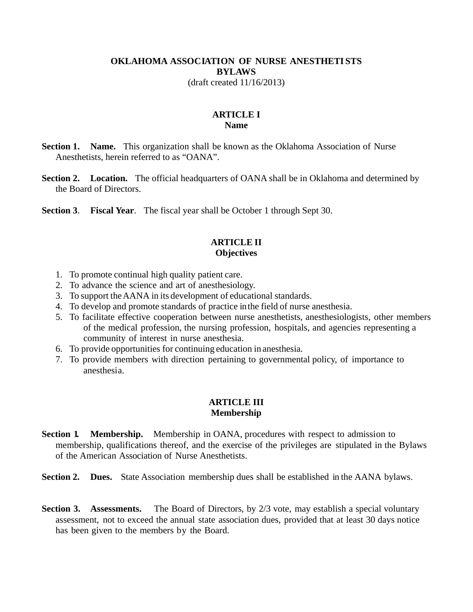### **OKLAHOMA ASSOCIATION OF NURSE ANESTHETISTS BYLAWS** (draft created 11/16/2013)

### **ARTICLE I Name**

- **Section 1. Name.** This organization shall be known as the Oklahoma Association of Nurse Anesthetists, herein referred to as "OANA".
- **Section 2. Location.** The official headquarters of OANA shall be in Oklahoma and determined by the Board of Directors.

**Section 3**. **Fiscal Year**. The fiscal year shall be October 1 through Sept 30.

### **ARTICLE II Objectives**

- 1. To promote continual high quality patient care.
- 2. To advance the science and art of anesthesiology.
- 3. To support the AANA in its development of educational standards.
- 4. To develop and promote standards of practice in the field of nurse anesthesia.
- 5. To facilitate effective cooperation between nurse anesthetists, anesthesiologists, other members of the medical profession, the nursing profession, hospitals, and agencies representing a community of interest in nurse anesthesia.
- 6. To provide opportunities for continuing education in anesthesia.
- 7. To provide members with direction pertaining to governmental policy, of importance to anesthesia.

#### **ARTICLE III Membership**

- **Section 1. Membership.** Membership in OANA, procedures with respect to admission to membership, qualifications thereof, and the exercise of the privileges are stipulated in the Bylaws of the American Association of Nurse Anesthetists.
- **Section 2. Dues.** State Association membership dues shall be established in the AANA bylaws.
- **Section 3.** Assessments. The Board of Directors, by 2/3 vote, may establish a special voluntary assessment, not to exceed the annual state association dues, provided that at least 30 days notice has been given to the members by the Board.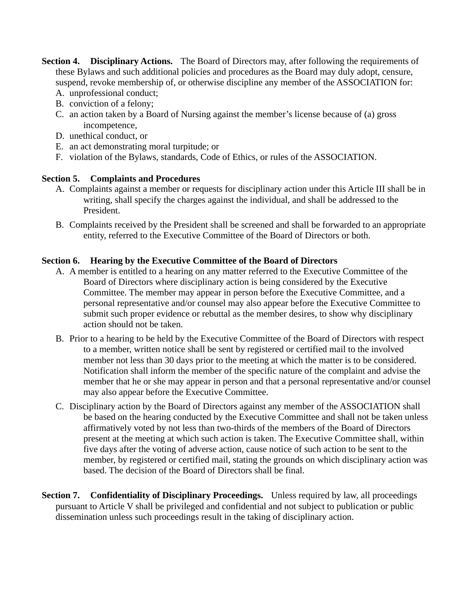- **Section 4. Disciplinary Actions.** The Board of Directors may, after following the requirements of these Bylaws and such additional policies and procedures as the Board may duly adopt, censure, suspend, revoke membership of, or otherwise discipline any member of the ASSOCIATION for:
	- A. unprofessional conduct;
	- B. conviction of a felony;
	- C. an action taken by a Board of Nursing against the member's license because of (a) gross incompetence,
	- D. unethical conduct, or
	- E. an act demonstrating moral turpitude; or
	- F. violation of the Bylaws, standards, Code of Ethics, or rules of the ASSOCIATION.

## **Section 5. Complaints and Procedures**

- A. Complaints against a member or requests for disciplinary action under this Article III shall be in writing, shall specify the charges against the individual, and shall be addressed to the President.
- B. Complaints received by the President shall be screened and shall be forwarded to an appropriate entity, referred to the Executive Committee of the Board of Directors or both.

## **Section 6. Hearing by the Executive Committee of the Board of Directors**

- A. A member is entitled to a hearing on any matter referred to the Executive Committee of the Board of Directors where disciplinary action is being considered by the Executive Committee. The member may appear in person before the Executive Committee, and a personal representative and/or counsel may also appear before the Executive Committee to submit such proper evidence or rebuttal as the member desires, to show why disciplinary action should not be taken.
- B. Prior to a hearing to be held by the Executive Committee of the Board of Directors with respect to a member, written notice shall be sent by registered or certified mail to the involved member not less than 30 days prior to the meeting at which the matter is to be considered. Notification shall inform the member of the specific nature of the complaint and advise the member that he or she may appear in person and that a personal representative and/or counsel may also appear before the Executive Committee.
- C. Disciplinary action by the Board of Directors against any member of the ASSOCIATION shall be based on the hearing conducted by the Executive Committee and shall not be taken unless affirmatively voted by not less than two-thirds of the members of the Board of Directors present at the meeting at which such action is taken. The Executive Committee shall, within five days after the voting of adverse action, cause notice of such action to be sent to the member, by registered or certified mail, stating the grounds on which disciplinary action was based. The decision of the Board of Directors shall be final.
- **Section 7. Confidentiality of Disciplinary Proceedings.** Unless required by law, all proceedings pursuant to Article V shall be privileged and confidential and not subject to publication or public dissemination unless such proceedings result in the taking of disciplinary action.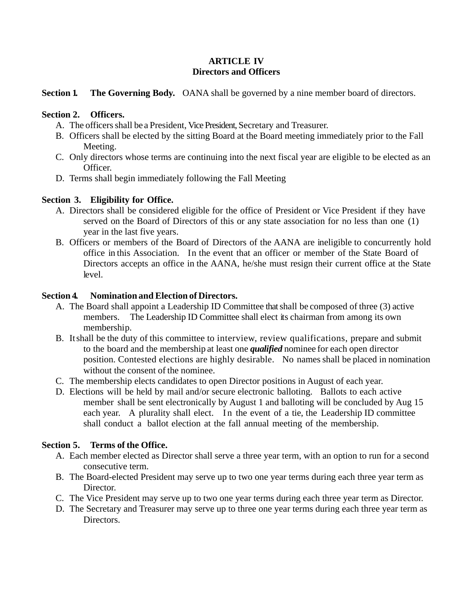## **ARTICLE IV Directors and Officers**

**Section 1. The Governing Body.** OANA shall be governed by a nine member board of directors.

# **Section 2. Officers.**

- A. The officers shall be a President, Vice President, Secretary and Treasurer.
- B. Officers shall be elected by the sitting Board at the Board meeting immediately prior to the Fall Meeting.
- C. Only directors whose terms are continuing into the next fiscal year are eligible to be elected as an Officer.
- D. Terms shall begin immediately following the Fall Meeting

# **Section 3. Eligibility for Office.**

- A. Directors shall be considered eligible for the office of President or Vice President if they have served on the Board of Directors of this or any state association for no less than one (1) year in the last five years.
- B. Officers or members of the Board of Directors of the AANA are ineligible to concurrently hold office in this Association. In the event that an officer or member of the State Board of Directors accepts an office in the AANA, he/she must resign their current office at the State level.

# **Section 4. Nomination and Election of Directors.**

- A. The Board shall appoint a Leadership ID Committee that shall be composed of three (3) active members. The Leadership ID Committee shall elect its chairman from among its own membership.
- B. It shall be the duty of this committee to interview, review qualifications, prepare and submit to the board and the membership at least one *qualified* nominee for each open director position. Contested elections are highly desirable. No names shall be placed in nomination without the consent of the nominee.
- C. The membership elects candidates to open Director positions in August of each year.
- D. Elections will be held by mail and/or secure electronic balloting. Ballots to each active member shall be sent electronically by August 1 and balloting will be concluded by Aug 15 each year. A plurality shall elect. In the event of a tie, the Leadership ID committee shall conduct a ballot election at the fall annual meeting of the membership.

# **Section 5. Terms of the Office.**

- A. Each member elected as Director shall serve a three year term, with an option to run for a second consecutive term.
- B. The Board-elected President may serve up to two one year terms during each three year term as Director.
- C. The Vice President may serve up to two one year terms during each three year term as Director.
- D. The Secretary and Treasurer may serve up to three one year terms during each three year term as Directors.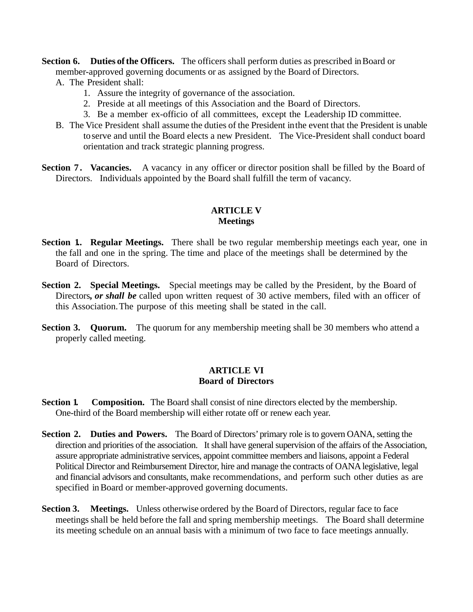**Section 6. Duties of the Officers.** The officers shall perform duties as prescribed in Board or member-approved governing documents or as assigned by the Board of Directors.

- A. The President shall:
	- 1. Assure the integrity of governance of the association.
	- 2. Preside at all meetings of this Association and the Board of Directors.
	- 3. Be a member ex-officio of all committees, except the Leadership ID committee.
- B. The Vice President shall assume the duties of the President in the event that the President is unable to serve and until the Board elects a new President. The Vice-President shall conduct board orientation and track strategic planning progress.
- **Section 7. Vacancies.** A vacancy in any officer or director position shall be filled by the Board of Directors. Individuals appointed by the Board shall fulfill the term of vacancy.

## **ARTICLE V Meetings**

- **Section 1. Regular Meetings.** There shall be two regular membership meetings each year, one in the fall and one in the spring. The time and place of the meetings shall be determined by the Board of Directors.
- **Section 2. Special Meetings.** Special meetings may be called by the President, by the Board of Directors*, or shall be* called upon written request of 30 active members, filed with an officer of this Association. The purpose of this meeting shall be stated in the call.
- **Section 3. Quorum.** The quorum for any membership meeting shall be 30 members who attend a properly called meeting.

## **ARTICLE VI Board of Directors**

- **Section 1.** Composition. The Board shall consist of nine directors elected by the membership. One-third of the Board membership will either rotate off or renew each year.
- **Section 2. Duties and Powers.** The Board of Directors' primary role is to govern OANA, setting the direction and priorities of the association. It shall have general supervision of the affairs of the Association, assure appropriate administrative services, appoint committee members and liaisons, appoint a Federal Political Director and Reimbursement Director, hire and manage the contracts of OANA legislative, legal and financial advisors and consultants, make recommendations, and perform such other duties as are specified in Board or member-approved governing documents.
- **Section 3. Meetings.** Unless otherwise ordered by the Board of Directors, regular face to face meetings shall be held before the fall and spring membership meetings. The Board shall determine its meeting schedule on an annual basis with a minimum of two face to face meetings annually.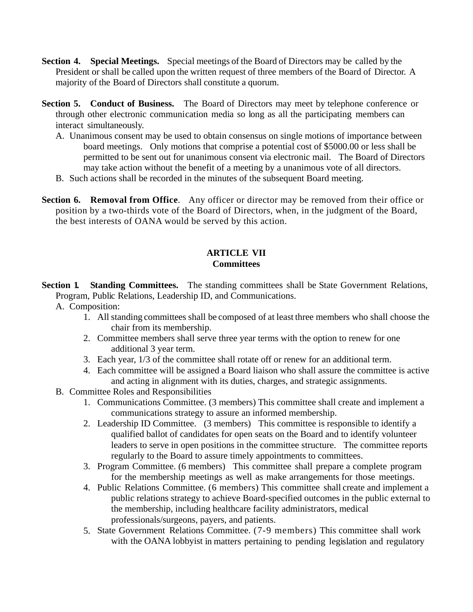- **Section 4. Special Meetings.** Special meetings of the Board of Directors may be called by the President or shall be called upon the written request of three members of the Board of Director. A majority of the Board of Directors shall constitute a quorum.
- **Section 5. Conduct of Business.** The Board of Directors may meet by telephone conference or through other electronic communication media so long as all the participating members can interact simultaneously.
	- A. Unanimous consent may be used to obtain consensus on single motions of importance between board meetings. Only motions that comprise a potential cost of \$5000.00 or less shall be permitted to be sent out for unanimous consent via electronic mail. The Board of Directors may take action without the benefit of a meeting by a unanimous vote of all directors.
	- B. Such actions shall be recorded in the minutes of the subsequent Board meeting.
- **Section 6. Removal from Office.** Any officer or director may be removed from their office or position by a two-thirds vote of the Board of Directors, when, in the judgment of the Board, the best interests of OANA would be served by this action.

# **ARTICLE VII Committees**

**Section 1. Standing Committees.** The standing committees shall be State Government Relations, Program, Public Relations, Leadership ID, and Communications.

- A. Composition:
	- 1. All standing committees shall be composed of at least three members who shall choose the chair from its membership.
	- 2. Committee members shall serve three year terms with the option to renew for one additional 3 year term.
	- 3. Each year, 1/3 of the committee shall rotate off or renew for an additional term.
	- 4. Each committee will be assigned a Board liaison who shall assure the committee is active and acting in alignment with its duties, charges, and strategic assignments.
- B. Committee Roles and Responsibilities
	- 1. Communications Committee. (3 members) This committee shall create and implement a communications strategy to assure an informed membership.
	- 2. Leadership ID Committee. (3 members) This committee is responsible to identify a qualified ballot of candidates for open seats on the Board and to identify volunteer leaders to serve in open positions in the committee structure. The committee reports regularly to the Board to assure timely appointments to committees.
	- 3. Program Committee. (6 members) This committee shall prepare a complete program for the membership meetings as well as make arrangements for those meetings.
	- 4. Public Relations Committee. (6 members) This committee shall create and implement a public relations strategy to achieve Board-specified outcomes in the public external to the membership, including healthcare facility administrators, medical professionals/surgeons, payers, and patients.
	- 5. State Government Relations Committee. (7-9 members) This committee shall work with the OANA lobbyist in matters pertaining to pending legislation and regulatory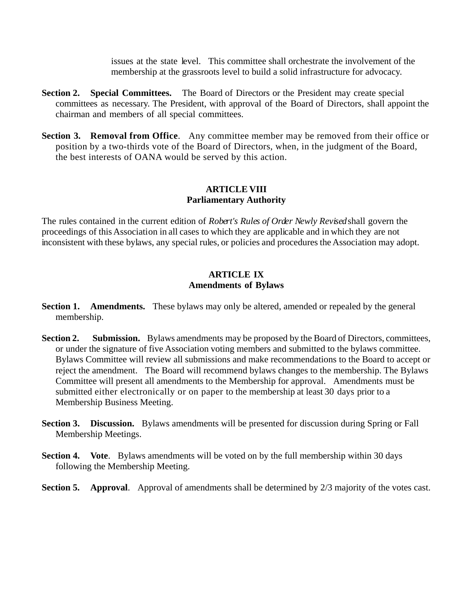issues at the state level. This committee shall orchestrate the involvement of the membership at the grassroots level to build a solid infrastructure for advocacy.

- **Section 2.** Special Committees. The Board of Directors or the President may create special committees as necessary. The President, with approval of the Board of Directors, shall appoint the chairman and members of all special committees.
- **Section 3. Removal from Office.** Any committee member may be removed from their office or position by a two-thirds vote of the Board of Directors, when, in the judgment of the Board, the best interests of OANA would be served by this action.

### **ARTICLE VIII Parliamentary Authority**

The rules contained in the current edition of *Robert's Rules of Order Newly Revised* shall govern the proceedings of this Association in all cases to which they are applicable and in which they are not inconsistent with these bylaws, any special rules, or policies and procedures the Association may adopt.

### **ARTICLE IX Amendments of Bylaws**

- Section 1. Amendments. These bylaws may only be altered, amended or repealed by the general membership.
- **Section 2. Submission.** Bylaws amendments may be proposed by the Board of Directors, committees, or under the signature of five Association voting members and submitted to the bylaws committee. Bylaws Committee will review all submissions and make recommendations to the Board to accept or reject the amendment. The Board will recommend bylaws changes to the membership. The Bylaws Committee will present all amendments to the Membership for approval. Amendments must be submitted either electronically or on paper to the membership at least 30 days prior to a Membership Business Meeting.
- **Section 3. Discussion.** Bylaws amendments will be presented for discussion during Spring or Fall Membership Meetings.
- **Section 4. Vote**. Bylaws amendments will be voted on by the full membership within 30 days following the Membership Meeting.
- **Section 5.** Approval. Approval of amendments shall be determined by 2/3 majority of the votes cast.